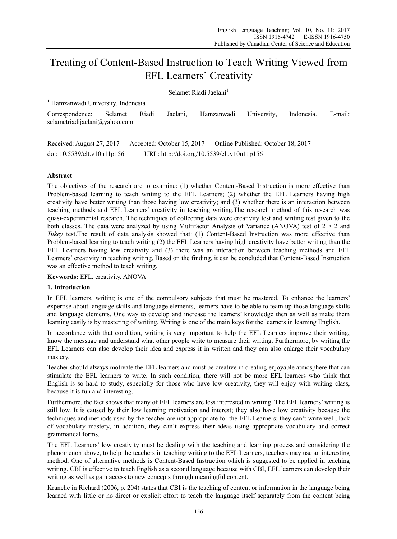# Treating of Content-Based Instruction to Teach Writing Viewed from EFL Learners' Creativity

Selamet Riadi Jaelani<sup>1</sup>

<sup>1</sup> Hamzanwadi University, Indonesia

Correspondence: Selamet Riadi Jaelani, Hamzanwadi University, Indonesia. E-mail: selametriadijaelani@yahoo.com

Received: August 27, 2017 Accepted: October 15, 2017 Online Published: October 18, 2017 doi: 10.5539/elt.v10n11p156 URL: http://doi.org/10.5539/elt.v10n11p156

# **Abstract**

The objectives of the research are to examine: (1) whether Content-Based Instruction is more effective than Problem-based learning to teach writing to the EFL Learners; (2) whether the EFL Learners having high creativity have better writing than those having low creativity; and (3) whether there is an interaction between teaching methods and EFL Learners' creativity in teaching writing.The research method of this research was quasi-experimental research. The techniques of collecting data were creativity test and writing test given to the both classes. The data were analyzed by using Multifactor Analysis of Variance (ANOVA) test of  $2 \times 2$  and *Tukey* test.The result of data analysis showed that: (1) Content-Based Instruction was more effective than Problem-based learning to teach writing (2) the EFL Learners having high creativity have better writing than the EFL Learners having low creativity and (3) there was an interaction between teaching methods and EFL Learners' creativity in teaching writing. Based on the finding, it can be concluded that Content-Based Instruction was an effective method to teach writing.

**Keywords:** EFL, creativity, ANOVA

# **1. Introduction**

In EFL learners, writing is one of the compulsory subjects that must be mastered. To enhance the learners' expertise about language skills and language elements, learners have to be able to team up those language skills and language elements. One way to develop and increase the learners' knowledge then as well as make them learning easily is by mastering of writing. Writing is one of the main keys for the learners in learning English.

In accordance with that condition, writing is very important to help the EFL Learners improve their writing, know the message and understand what other people write to measure their writing. Furthermore, by writing the EFL Learners can also develop their idea and express it in written and they can also enlarge their vocabulary mastery.

Teacher should always motivate the EFL learners and must be creative in creating enjoyable atmosphere that can stimulate the EFL learners to write. In such condition, there will not be more EFL learners who think that English is so hard to study, especially for those who have low creativity, they will enjoy with writing class, because it is fun and interesting.

Furthermore, the fact shows that many of EFL learners are less interested in writing. The EFL learners' writing is still low. It is caused by their low learning motivation and interest; they also have low creativity because the techniques and methods used by the teacher are not appropriate for the EFL Learners; they can't write well; lack of vocabulary mastery, in addition, they can't express their ideas using appropriate vocabulary and correct grammatical forms.

The EFL Learners' low creativity must be dealing with the teaching and learning process and considering the phenomenon above, to help the teachers in teaching writing to the EFL Learners, teachers may use an interesting method. One of alternative methods is Content-Based Instruction which is suggested to be applied in teaching writing. CBI is effective to teach English as a second language because with CBI, EFL learners can develop their writing as well as gain access to new concepts through meaningful content.

Kranche in Richard (2006, p. 204) states that CBI is the teaching of content or information in the language being learned with little or no direct or explicit effort to teach the language itself separately from the content being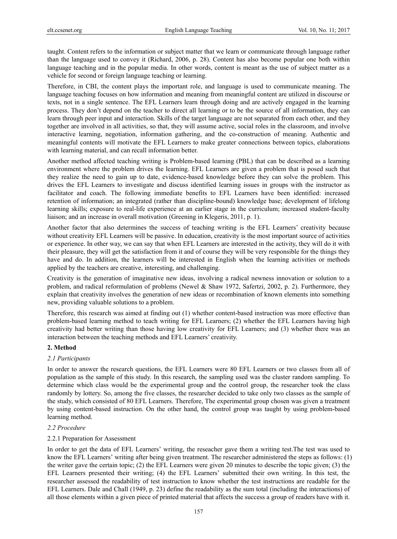taught. Content refers to the information or subject matter that we learn or communicate through language rather than the language used to convey it (Richard, 2006, p. 28). Content has also become popular one both within language teaching and in the popular media. In other words, content is meant as the use of subject matter as a vehicle for second or foreign language teaching or learning.

Therefore, in CBI, the content plays the important role, and language is used to communicate meaning. The language teaching focuses on how information and meaning from meaningful content are utilized in discourse or texts, not in a single sentence. The EFL Learners learn through doing and are actively engaged in the learning process. They don't depend on the teacher to direct all learning or to be the source of all information, they can learn through peer input and interaction. Skills of the target language are not separated from each other, and they together are involved in all activities, so that, they will assume active, social roles in the classroom, and involve interactive learning, negotiation, information gathering, and the co-construction of meaning. Authentic and meaningful contents will motivate the EFL Learners to make greater connections between topics, elaborations with learning material, and can recall information better.

Another method affected teaching writing is Problem-based learning (PBL) that can be described as a learning environment where the problem drives the learning. EFL Learners are given a problem that is posed such that they realize the need to gain up to date, evidence-based knowledge before they can solve the problem. This drives the EFL Learners to investigate and discuss identified learning issues in groups with the instructor as facilitator and coach. The following immediate benefits to EFL Learners have been identified: increased retention of information; an integrated (rather than discipline-bound) knowledge base; development of lifelong learning skills; exposure to real-life experience at an earlier stage in the curriculum; increased student-faculty liaison; and an increase in overall motivation (Greening in Klegeris, 2011, p. 1).

Another factor that also determines the success of teaching writing is the EFL Learners' creativity because without creativity EFL Learners will be passive. In education, creativity is the most important source of activities or experience. In other way, we can say that when EFL Learners are interested in the activity, they will do it with their pleasure, they will get the satisfaction from it and of course they will be very responsible for the things they have and do. In addition, the learners will be interested in English when the learning activities or methods applied by the teachers are creative, interesting, and challenging.

Creativity is the generation of imaginative new ideas, involving a radical newness innovation or solution to a problem, and radical reformulation of problems (Newel & Shaw 1972, Safertzi, 2002, p. 2). Furthermore, they explain that creativity involves the generation of new ideas or recombination of known elements into something new, providing valuable solutions to a problem.

Therefore, this research was aimed at finding out (1) whether content-based instruction was more effective than problem-based learning method to teach writing for EFL Learners; (2) whether the EFL Learners having high creativity had better writing than those having low creativity for EFL Learners; and (3) whether there was an interaction between the teaching methods and EFL Learners' creativity.

## **2. Method**

## *2.1 Participants*

In order to answer the research questions, the EFL Learners were 80 EFL Learners or two classes from all of population as the sample of this study. In this research, the sampling used was the cluster random sampling. To determine which class would be the experimental group and the control group, the researcher took the class randomly by lottery. So, among the five classes, the researcher decided to take only two classes as the sample of the study, which consisted of 80 EFL Learners. Therefore, The experimental group chosen was given a treatment by using content-based instruction. On the other hand, the control group was taught by using problem-based learning method.

## *2.2 Procedure*

#### 2.2.1 Preparation for Assessment

In order to get the data of EFL Learners' writing, the reseacher gave them a writing test.The test was used to know the EFL Learners' writing after being given treatment. The researcher administered the steps as follows: (1) the writer gave the certain topic; (2) the EFL Learners were given 20 minutes to describe the topic given; (3) the EFL Learners presented their writing; (4) the EFL Learners' submitted their own writing. In this test, the researcher assessed the readability of test instruction to know whether the test instructions are readable for the EFL Learners. Dale and Chall (1949, p. 23) define the readability as the sum total (including the interactions) of all those elements within a given piece of printed material that affects the success a group of readers have with it.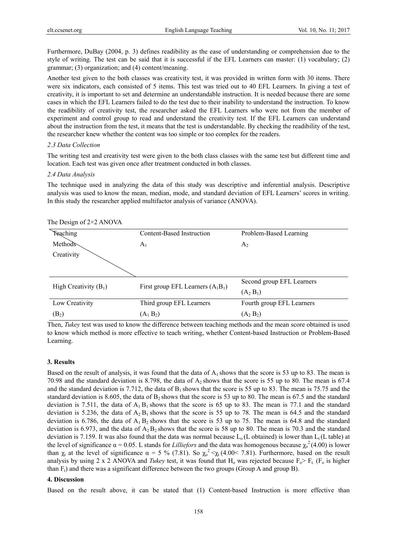Furthermore, DuBay (2004, p. 3) defines readibility as the ease of understanding or comprehension due to the style of writing. The test can be said that it is successful if the EFL Learners can master: (1) vocabulary; (2) grammar; (3) organization; and (4) content/meaning.

Another test given to the both classes was creativity test, it was provided in written form with 30 items. There were six indicators, each consisted of 5 items. This test was tried out to 40 EFL Learners. In giving a test of creativity, it is important to set and determine an understandable instruction. It is needed because there are some cases in which the EFL Learners failed to do the test due to their inability to understand the instruction. To know the readibility of creativity test, the researcher asked the EFL Learners who were not from the member of experiment and control group to read and understand the creativity test. If the EFL Learners can understand about the instruction from the test, it means that the test is understandable. By checking the readibility of the test, the researcher knew whether the content was too simple or too complex for the readers.

#### *2.3 Data Collection*

The writing test and creativity test were given to the both class classes with the same test but different time and location. Each test was given once after treatment conducted in both classes.

#### *2.4 Data Analysis*

The technique used in analyzing the data of this study was descriptive and inferential analysis. Descriptive analysis was used to know the mean, median, mode, and standard deviation of EFL Learners' scores in writing. In this study the researcher applied multifactor analysis of variance (ANOVA).

| The Design of $2\times2$ ANOVA |                                     |                           |
|--------------------------------|-------------------------------------|---------------------------|
| Teaching                       | Content-Based Instruction           | Problem-Based Learning    |
| Methods                        | $A_1$                               | A <sub>2</sub>            |
| Creativity                     |                                     |                           |
|                                |                                     |                           |
| High Creativity $(B_1)$        | First group EFL Learners $(A_1B_1)$ | Second group EFL Learners |
|                                |                                     | $(A_2 B_1)$               |
| Low Creativity                 | Third group EFL Learners            | Fourth group EFL Learners |
| (B <sub>2</sub> )              | $(A_1 B_2)$                         | $(A_2 B_2)$               |

Then, *Tukey* test was used to know the difference between teaching methods and the mean score obtained is used to know which method is more effective to teach writing, whether Content-based Instruction or Problem-Based Learning.

#### **3. Results**

Based on the result of analysis, it was found that the data of  $A_1$  shows that the score is 53 up to 83. The mean is 70.98 and the standard deviation is 8.798, the data of  $A_2$  shows that the score is 55 up to 80. The mean is 67.4 and the standard deviation is 7.712, the data of  $B_1$  shows that the score is 55 up to 83. The mean is 75.75 and the standard deviation is 8.605, the data of  $B_2$  shows that the score is 53 up to 80. The mean is 67.5 and the standard deviation is 7.511, the data of  $A_1 B_1$  shows that the score is 65 up to 83. The mean is 77.1 and the standard deviation is 5.236, the data of  $A_2 B_1$  shows that the score is 55 up to 78. The mean is 64.5 and the standard deviation is 6.786, the data of  $A_1 B_2$  shows that the score is 53 up to 75. The mean is 64.8 and the standard deviation is 6.973, and the data of  $A_2 B_2$  shows that the score is 58 up to 80. The mean is 70.3 and the standard deviation is 7.159. It was also found that the data was normal because  $L_0(L)$  obtained) is lower than  $L_1(L)$  table) at the level of significance  $\alpha = 0.05$ . L stands for *Lilliefors* and the data was homogenous because  $\chi_o^2(4.00)$  is lower than  $\chi_t$  at the level of significance  $\alpha = 5$  % (7.81). So  $\chi_b^2 < \chi_t (4.00 < 7.81)$ . Furthermore, based on the result analysis by using 2 x 2 ANOVA and *Tukey* test, it was found that H<sub>o</sub> was rejected because  $F_0 > F_t$ . (F<sub>o</sub> is higher than  $F_t$ ) and there was a significant difference between the two groups (Group A and group B).

#### **4. Discussion**

Based on the result above, it can be stated that (1) Content-based Instruction is more effective than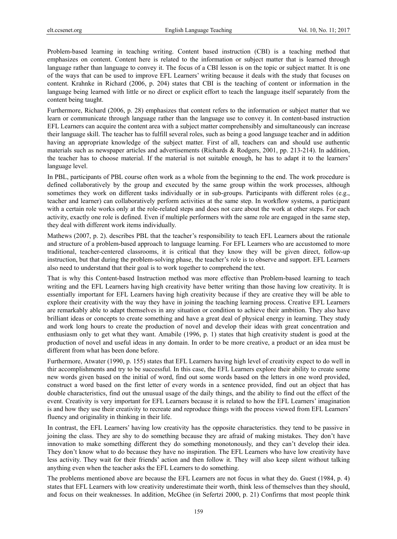Problem-based learning in teaching writing. Content based instruction (CBI) is a teaching method that emphasizes on content. Content here is related to the information or subject matter that is learned through language rather than language to convey it. The focus of a CBI lesson is on the topic or subject matter. It is one of the ways that can be used to improve EFL Learners' writing because it deals with the study that focuses on content. Krahnke in Richard (2006, p. 204) states that CBI is the teaching of content or information in the language being learned with little or no direct or explicit effort to teach the language itself separately from the content being taught.

Furthermore, Richard (2006, p. 28) emphasizes that content refers to the information or subject matter that we learn or communicate through language rather than the language use to convey it. In content-based instruction EFL Learners can acquire the content area with a subject matter comprehensibly and simultaneously can increase their language skill. The teacher has to fulfill several roles, such as being a good language teacher and in addition having an appropriate knowledge of the subject matter. First of all, teachers can and should use authentic materials such as newspaper articles and advertisements (Richards & Rodgers, 2001, pp. 213-214). In addition, the teacher has to choose material. If the material is not suitable enough, he has to adapt it to the learners' language level.

In PBL, participants of PBL course often work as a whole from the beginning to the end. The work procedure is defined collaboratively by the group and executed by the same group within the work processes, although sometimes they work on different tasks individually or in sub-groups. Participants with different roles (e.g., teacher and learner) can collaboratively perform activities at the same step. In workflow systems, a participant with a certain role works only at the role-related steps and does not care about the work at other steps. For each activity, exactly one role is defined. Even if multiple performers with the same role are engaged in the same step, they deal with different work items individually.

Mathews (2007, p. 2). describes PBL that the teacher's responsibility to teach EFL Learners about the rationale and structure of a problem-based approach to language learning. For EFL Learners who are accustomed to more traditional, teacher-centered classrooms, it is critical that they know they will be given direct, follow-up instruction, but that during the problem-solving phase, the teacher's role is to observe and support. EFL Learners also need to understand that their goal is to work together to comprehend the text.

That is why this Content-based Instruction method was more effective than Problem-based learning to teach writing and the EFL Learners having high creativity have better writing than those having low creativity. It is essentially important for EFL Learners having high creativity because if they are creative they will be able to explore their creativity with the way they have in joining the teaching learning process. Creative EFL Learners are remarkably able to adapt themselves in any situation or condition to achieve their ambition. They also have brilliant ideas or concepts to create something and have a great deal of physical energy in learning. They study and work long hours to create the production of novel and develop their ideas with great concentration and enthusiasm only to get what they want. Amabile (1996, p. 1) states that high creativity student is good at the production of novel and useful ideas in any domain. In order to be more creative, a product or an idea must be different from what has been done before.

Furthermore, Atwater (1990, p. 155) states that EFL Learners having high level of creativity expect to do well in thir accomplishments and try to be successful. In this case, the EFL Learners explore their ability to create some new words given based on the initial of word, find out some words based on the letters in one word provided, construct a word based on the first letter of every words in a sentence provided, find out an object that has double characteristics, find out the unusual usage of the daily things, and the ability to find out the effect of the event. Creativity is very important for EFL Learners because it is related to how the EFL Learners' imagination is and how they use their creativity to recreate and reproduce things with the process viewed from EFL Learners' fluency and originality in thinking in their life.

In contrast, the EFL Learners' having low creativity has the opposite characteristics. they tend to be passive in joining the class. They are shy to do something because they are afraid of making mistakes. They don't have innovation to make something different they do something monotonously, and they can't develop their idea. They don't know what to do because they have no inspiration. The EFL Learners who have low creativity have less activity. They wait for their friends' action and then follow it. They will also keep silent without talking anything even when the teacher asks the EFL Learners to do something.

The problems mentioned above are because the EFL Learners are not focus in what they do. Guest (1984, p. 4) states that EFL Learners with low creativity underestimate their worth, think less of themselves than they should, and focus on their weaknesses. In addition, McGhee (in Sefertzi 2000, p. 21) Confirms that most people think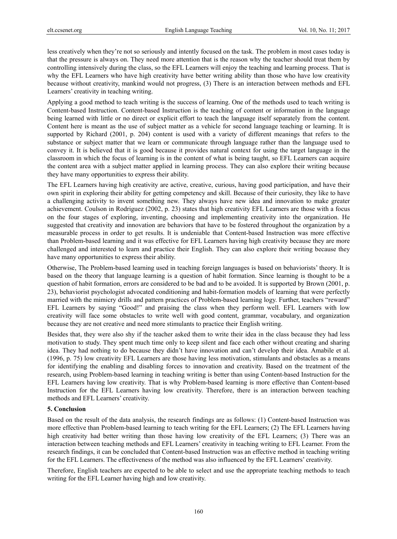less creatively when they're not so seriously and intently focused on the task. The problem in most cases today is that the pressure is always on. They need more attention that is the reason why the teacher should treat them by controlling intensively during the class, so the EFL Learners will enjoy the teaching and learning process. That is why the EFL Learners who have high creativity have better writing ability than those who have low creativity because without creativity, mankind would not progress, (3) There is an interaction between methods and EFL Learners' creativity in teaching writing.

Applying a good method to teach writing is the success of learning. One of the methods used to teach writing is Content-based Instruction. Content-based Instruction is the teaching of content or information in the language being learned with little or no direct or explicit effort to teach the language itself separately from the content. Content here is meant as the use of subject matter as a vehicle for second language teaching or learning. It is supported by Richard (2001, p. 204) content is used with a variety of different meanings that refers to the substance or subject matter that we learn or communicate through language rather than the language used to convey it. It is believed that it is good because it provides natural context for using the target language in the classroom in which the focus of learning is in the content of what is being taught, so EFL Learners can acquire the content area with a subject matter applied in learning process. They can also explore their writing because they have many opportunities to express their ability.

The EFL Learners having high creativity are active, creative, curious, having good participation, and have their own spirit in exploring their ability for getting competency and skill. Because of their curiosity, they like to have a challenging activity to invent something new. They always have new idea and innovation to make greater achievement. Coulson in Rodriguez (2002, p. 23) states that high creativity EFL Learners are those with a focus on the four stages of exploring, inventing, choosing and implementing creativity into the organization. He suggested that creativity and innovation are behaviors that have to be fostered throughout the organization by a measurable process in order to get results. It is undeniable that Content-based Instruction was more effective than Problem-based learning and it was effective for EFL Learners having high creativity because they are more challenged and interested to learn and practice their English. They can also explore their writing because they have many opportunities to express their ability.

Otherwise, The Problem-based learning used in teaching foreign languages is based on behaviorists' theory. It is based on the theory that language learning is a question of habit formation. Since learning is thought to be a question of habit formation, errors are considered to be bad and to be avoided. It is supported by Brown (2001, p. 23), behaviorist psychologist advocated conditioning and habit-formation models of learning that were perfectly married with the mimicry drills and pattern practices of Problem-based learning logy. Further, teachers "reward" EFL Learners by saying "Good!" and praising the class when they perform well. EFL Learners with low creativity will face some obstacles to write well with good content, grammar, vocabulary, and organization because they are not creative and need more stimulants to practice their English writing.

Besides that, they were also shy if the teacher asked them to write their idea in the class because they had less motivation to study. They spent much time only to keep silent and face each other without creating and sharing idea. They had nothing to do because they didn't have innovation and can't develop their idea. Amabile et al. (1996, p. 75) low creativity EFL Learners are those having less motivation, stimulants and obstacles as a means for identifying the enabling and disabling forces to innovation and creativity. Based on the treatment of the research, using Problem-based learning in teaching writing is better than using Content-based Instruction for the EFL Learners having low creativity. That is why Problem-based learning is more effective than Content-based Instruction for the EFL Learners having low creativity. Therefore, there is an interaction between teaching methods and EFL Learners' creativity.

# **5. Conclusion**

Based on the result of the data analysis, the research findings are as follows: (1) Content-based Instruction was more effective than Problem-based learning to teach writing for the EFL Learners; (2) The EFL Learners having high creativity had better writing than those having low creativity of the EFL Learners; (3) There was an interaction between teaching methods and EFL Learners' creativity in teaching writing to EFL Learner. From the research findings, it can be concluded that Content-based Instruction was an effective method in teaching writing for the EFL Learners. The effectiveness of the method was also influenced by the EFL Learners' creativity.

Therefore, English teachers are expected to be able to select and use the appropriate teaching methods to teach writing for the EFL Learner having high and low creativity.